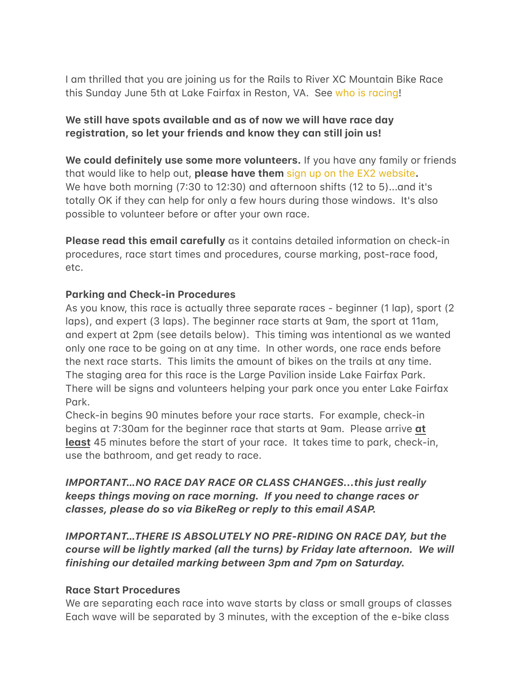I am thrilled that you are joining us for the Rails to River XC Mountain Bike Race this Sunday June 5th at Lake Fairfax in Reston, VA. See who is racing!

# We still have spots available and as of now we will have race day registration, so let your friends and know they can still join us!

**We could definitely use some more volunteers.** If you have any family or friends that would like to help out, **please have them** [sign up on the EX2 website](https://ex2adventures.com/about-ex2/volunteer/). We have both morning (7:30 to 12:30) and afternoon shifts (12 to 5)... and it's totally OK if they can help for only a few hours during those windows. It's also possible to volunteer before or after your own race.

**Please read this email carefully** as it contains detailed information on check-in procedures, race start times and procedures, course marking, post-race food, etc.

# **Parking and Check-in Procedures**

As you know, this race is actually three separate races - beginner (1 lap), sport (2 laps), and expert (3 laps). The beginner race starts at 9 am, the sport at 11 am, and expert at 2pm (see details below). This timing was intentional as we wanted only one race to be going on at any time. In other words, one race ends before the next race starts. This limits the amount of bikes on the trails at any time. The staging area for this race is the Large Pavilion inside Lake Fairfax Park. There will be signs and volunteers helping your park once you enter Lake Fairfax Park.

Check-in begins 90 minutes before your race starts. For example, check-in begins at 7:30am for the beginner race that starts at 9am. Please arrive at **least** 45 minutes before the start of your race. It takes time to park, check-in, use the bathroom, and get ready to race.

# IMPORTANT...NO RACE DAY RACE OR CLASS CHANGES...this just really *keeps things moving on race morning. If you need to change races or classes, please do so via BikeReg or reply to this email ASAP.*

*IMPORTANT…THERE IS ABSOLUTELY NO PRE-RIDING ON RACE DAY, but the course will be lightly marked (all the turns) by Friday late afternoon. We will finishing our detailed marking between 3pm and 7pm on Saturday.* 

# **Race Start Procedures**

We are separating each race into wave starts by class or small groups of classes Each wave will be separated by 3 minutes, with the exception of the e-bike class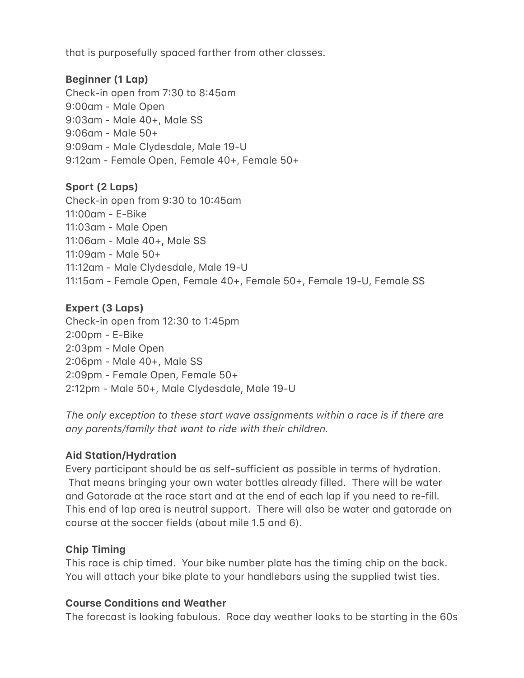that is purposefully spaced farther from other classes.

# **Beginner (1 Lap)**

Check-in open from  $7:30$  to  $8:45$  am 9:00am - Male Open 9:03 am - Male 40+, Male SS  $9:06$  am - Male  $50+$ 9:09 am - Male Clydesdale, Male 19-U 9:12am - Female Open, Female 40+, Female 50+

## **Sport (2 Laps)**

Check-in open from  $9:30$  to  $10:45$  am 11:00am - E-Bike 11:03 am - Male Open 11:06 am - Male 40+, Male SS  $11:09$ am - Male 50+ 11:12 am - Male Clydesdale, Male 19-U 11:15 am - Female Open, Female 40+, Female 50+, Female 19-U, Female SS

## **Expert (3 Laps)**

Check-in open from 12:30 to 1:45pm  $2:00$ pm - E-Bike 2:03pm - Male Open 2:06pm - Male 40+, Male SS 2:09pm - Female Open, Female 50+ 2:12pm - Male 50+, Male Clydesdale, Male 19-U

*The only exception to these start wave assignments within a race is if there are any parents/family that want to ride with their children.* 

# **Aid Station/Hydration**

Every participant should be as self-sufficient as possible in terms of hydration. That means bringing your own water bottles already filled. There will be water and Gatorade at the race start and at the end of each lap if you need to re-fill. This end of lap area is neutral support. There will also be water and gatorade on course at the soccer fields (about mile 1.5 and 6).

# **Chip Timing**

This race is chip timed. Your bike number plate has the timing chip on the back. You will attach your bike plate to your handlebars using the supplied twist ties.

# **Course Conditions and Weather**

The forecast is looking fabulous. Race day weather looks to be starting in the 60s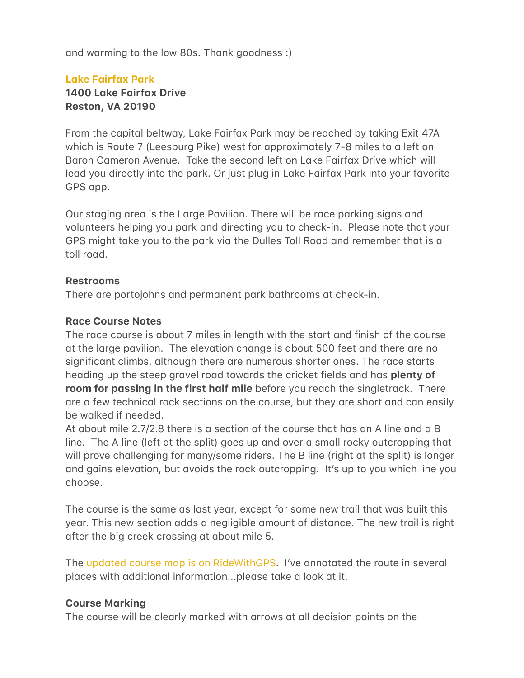and warming to the low 80s. Thank goodness :)

## Lake Fairfax Park 1400 Lake Fairfax Drive **Reston, VA 20190**

From the capital beltway, Lake Fairfax Park may be reached by taking Exit 47A which is Route 7 (Leesburg Pike) west for approximately 7-8 miles to a left on Baron Cameron Avenue. Take the second left on Lake Fairfax Drive which will lead you directly into the park. Or just plug in Lake Fairfax Park into your favorite GPS app.

Our staging area is the Large Pavilion. There will be race parking signs and volunteers helping you park and directing you to check-in. Please note that your GPS might take you to the park via the Dulles Toll Road and remember that is a toll road.

## **Restrooms**

There are portojohns and permanent park bathrooms at check-in.

#### **Race Course Notes**

The race course is about 7 miles in length with the start and finish of the course at the large pavilion. The elevation change is about 500 feet and there are no significant climbs, although there are numerous shorter ones. The race starts heading up the steep gravel road towards the cricket fields and has **plenty of room for passing in the first half mile** before you reach the singletrack. There are a few technical rock sections on the course, but they are short and can easily be walked if needed.

At about mile 2.7/2.8 there is a section of the course that has an A line and a B line. The A line (left at the split) goes up and over a small rocky outcropping that will prove challenging for many/some riders. The B line (right at the split) is longer and gains elevation, but avoids the rock outcropping. It's up to you which line you choose.

The course is the same as last year, except for some new trail that was built this year. This new section adds a negligible amount of distance. The new trail is right after the big creek crossing at about mile 5.

The updated course map is on RideWithGPS. I've annotated the route in several places with additional information...please take a look at it.

#### **Course Marking**

The course will be clearly marked with arrows at all decision points on the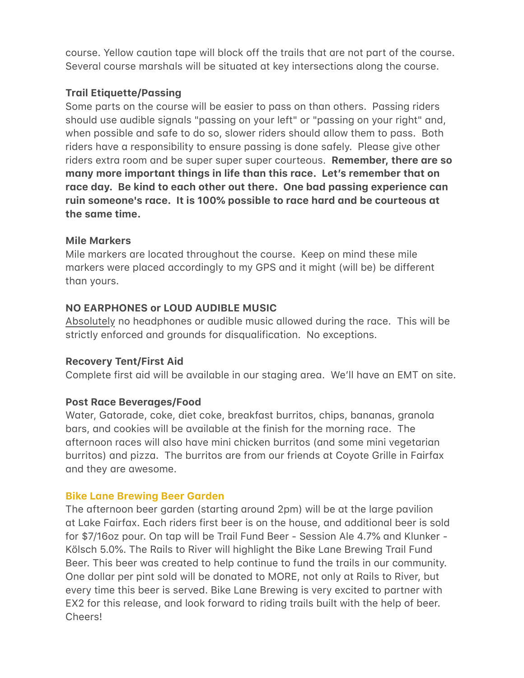course. Yellow caution tape will block off the trails that are not part of the course. Several course marshals will be situated at key intersections along the course.

# **Trail Etiquette/Passing**

Some parts on the course will be easier to pass on than others. Passing riders should use audible signals "passing on your left" or "passing on your right" and, when possible and safe to do so, slower riders should allow them to pass. Both riders have a responsibility to ensure passing is done safely. Please give other riders extra room and be super super super courteous. **Remember, there are so** many more important things in life than this race. Let's remember that on race day. Be kind to each other out there. One bad passing experience can ruin someone's race. It is 100% possible to race hard and be courteous at the same time.

## **Mile Markers**

Mile markers are located throughout the course. Keep on mind these mile markers were placed accordingly to my GPS and it might (will be) be different than yours.

# **NO EARPHONES or LOUD AUDIBLE MUSIC**

Absolutely no headphones or udible music allowed during the race. This will be strictly enforced and grounds for disqualification. No exceptions.

#### **Recovery Tent/First Aid**

Complete first aid will be available in our staging area. We'll have an EMT on site.

# **Post Race Beverages/Food**

Water, Gatorade, coke, diet coke, breakfast burritos, chips, bananas, granola bars, and cookies will be available at the finish for the morning race. The afternoon races will also have mini chicken burritos (and some mini vegetarian burritos) and pizza. The burritos are from our friends at Coyote Grille in Fairfax and they are awesome.

# **Bike Lane Brewing Beer Garden**

The afternoon beer garden (starting around 2pm) will be at the large pavilion at Lake Fairfax. Each riders first beer is on the house, and additional beer is sold for \$7/16oz pour. On tap will be Trail Fund Beer - Session Ale 4.7% and Klunker -Kölsch 5.0%. The Rails to River will highlight the Bike Lane Brewing Trail Fund Beer. This beer was created to help continue to fund the trails in our community. One dollar per pint sold will be donated to MORE, not only at Rails to River, but every time this beer is served. Bike Lane Brewing is very excited to partner with EX2 for this release, and look forward to riding trails built with the help of beer. Cheers!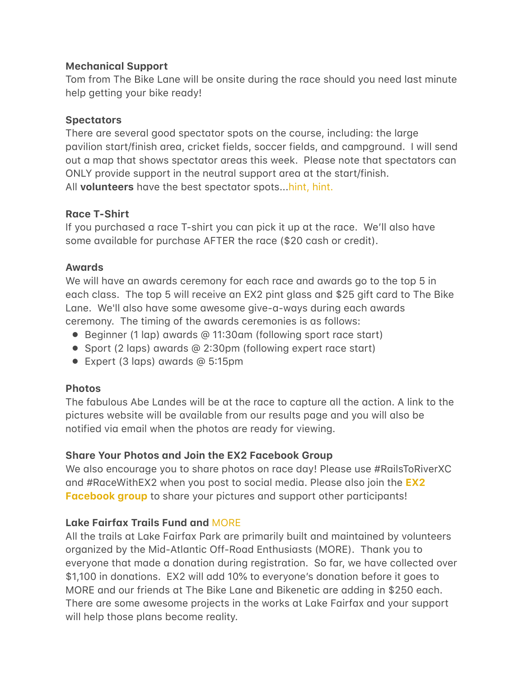# **Mechanical Support**

Tom from The Bike Lane will be onsite during the race should you need last minute help getting your bike ready!

## **Spectators**

There are several good spectator spots on the course, including: the large pavilion start/finish area, cricket fields, soccer fields, and campground. I will send out a map that shows spectator areas this week. Please note that spectators can ONLY provide support in the neutral support area at the start/finish. All **volunteers** have the best spectator spots..[.hint, hint.](https://ex2adventures.com/about-ex2/volunteer/)

## **Race T-Shirt**

If you purchased a race T-shirt you can pick it up at the race. We'll also have some available for purchase AFTER the race (\$20 cash or credit).

## **Awards**

We will have an awards ceremony for each race and awards go to the top 5 in each class. The top 5 will receive an EX2 pint glass and \$25 gift card to The Bike Lane. We'll also have some awesome give-a-ways during each awards ceremony. The timing of the awards ceremonies is as follows:

- $\bullet$  Beginner (1 lap) awards @ 11:30am (following sport race start)
- Sport (2 laps) awards @ 2:30pm (following expert race start)
- $\bullet$  Expert (3 laps) awards @ 5:15pm

# **Photos**

The fabulous Abe Landes will be at the race to capture all the action. A link to the pictures website will be available from our results page and you will also be notified via email when the photos are ready for viewing.

# **Share Your Photos and Join the EX2 Facebook Group**

We also encourage you to share photos on race day! Please use #RailsToRiverXC and #RaceWith[EX2](https://www.facebook.com/groups/1837153433068446) when you post to social media. Please also join the **EX2 Facebook group** to share your pictures and support other participants!

# **Lake Fairfax Trails Fund and [MORE](https://more-mtb.org/)**

All the trails at Lake Fairfax Park are primarily built and maintained by volunteers organized by the Mid-Atlantic Off-Road Enthusiasts (MORE). Thank you to everyone that made a donation during registration. So far, we have collected over \$1,100 in don#tions. EX2 will #dd 10% to everyone's don#tion before it goes to MORE and our friends at The Bike Lane and Bikenetic are adding in \$250 each. There are some awesome projects in the works at Lake Fairfax and your support will help those plans become reality.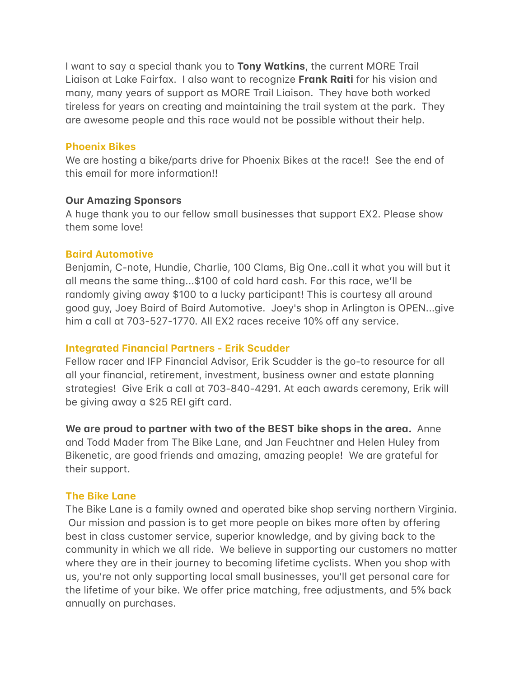I want to say a special thank you to Tony Watkins, the current MORE Trail Liaison at Lake Fairfax. I also want to recognize Frank Raiti for his vision and many, many years of support as MORE Trail Liaison. They have both worked tireless for years on creating and maintaining the trail system at the park. They are awesome people and this race would not be possible without their help.

#### **Phoenix Bikes**

We are hosting a bike/parts drive for Phoenix Bikes at the race!! See the end of this email for more information!!

## **Our Amazing Sponsors**

A huge thank you to our fellow small businesses that support EX2. Please show them some love!

## **Baird Automotive**

Benjamin, C-note, Hundie, Charlie, 100 Clams, Big One..call it what you will but it all means the same thing...\$100 of cold hard cash. For this race, we'll be randomly giving away \$100 to a lucky participant! This is courtesy all around good guy, Joey Baird of Baird Automotive. Joey's shop in Arlington is OPEN...give him a call at 703-527-1770. All EX2 races receive 10% off any service.

# **Integrated Financial Partners - Erik Scudder**

Fellow racer and IFP Financial Advisor, Erik Scudder is the go-to resource for all all your financial, retirement, investment, business owner and estate planning strategies! Give Erik a call at 703-840-4291. At each awards ceremony, Erik will be giving away a \$25 REI gift card.

We are proud to partner with two of the BEST bike shops in the area. Anne and Todd Mader from The Bike Lane, and Jan Feuchtner and Helen Huley from Bikenetic, are good friends and amazing, amazing people! We are grateful for their support.

# **The Bike Lane**

The Bike Lane is a family owned and operated bike shop serving northern Virginia. Our mission and passion is to get more people on bikes more often by offering best in class customer service, superior knowledge, and by giving back to the community in which we all ride. We believe in supporting our customers no matter where they are in their journey to becoming lifetime cyclists. When you shop with us, you're not only supporting local small businesses, you'll get personal care for the lifetime of your bike. We offer price matching, free adjustments, and 5% back annually on purchases.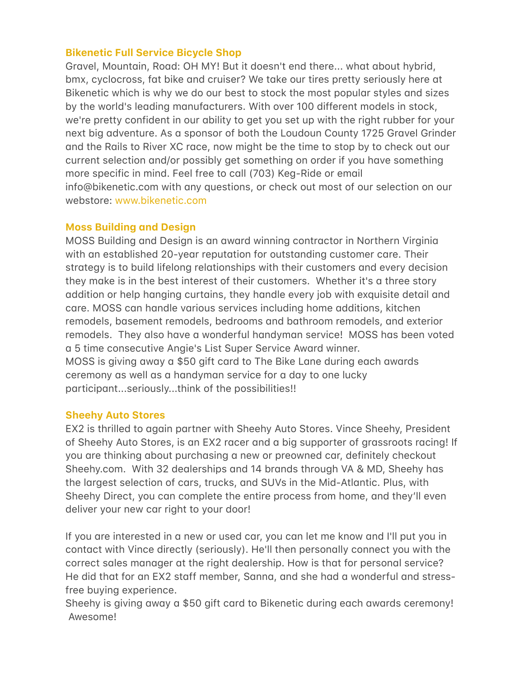## **[Bikenetic Full Service Bicycle Shop](https://www.bikenetic.com/)**

Gravel, Mountain, Road: OH MY! But it doesn't end there... what about hybrid, bmx, cyclocross, fat bike and cruiser? We take our tires pretty seriously here at Bikenetic which is why we do our best to stock the most popular styles and sizes by the world's leading manufacturers. With over 100 different models in stock, we're pretty confident in our ability to get you set up with the right rubber for your next big adventure. As a sponsor of both the Loudoun County 1725 Gravel Grinder and the Rails to River XC race, now might be the time to stop by to check out our current selection and/or possibly get something on order if you have something more specific in mind. Feel free to call (703) Keg-Ride or email info@bikenetic.com with any questions, or check out most of our selection on our webstore: [www.bikenetic.com](https://www.bikenetic.com/)

#### **Moss Building and Design**

MOSS Building and Design is an award winning contractor in Northern Virginia with an established 20-year reputation for outstanding customer care. Their strategy is to build lifelong relationships with their customers and every decision they make is in the best interest of their customers. Whether it's a three story addition or help hanging curtains, they handle every job with exquisite detail and care. MOSS can handle various services including home additions, kitchen remodels, basement remodels, bedrooms and bathroom remodels, and exterior remodels. They also have a wonderful handyman service! MOSS has been voted a 5 time consecutive Angie's List Super Service Award winner. MOSS is giving away a \$50 gift card to The Bike Lane during each awards ceremony as well as a handyman service for a day to one lucky participant...seriously...think of the possibilities!!

#### **[Sheehy Auto Stores](https://www.sheehy.com/?utm_source=sponsorship&utm_medium=referral&utm_campaign=ex2_adventures)**

EX2 is thrilled to again partner with Sheehy Auto Stores. Vince Sheehy, President of Sheehy Auto Stores, is an EX2 racer and a big supporter of grassroots racing! If you are thinking about purchasing a new or preowned car, definitely checkout Sheehy.com. With 32 dealerships and 14 brands through VA & MD, Sheehy has the largest selection of cars, trucks, and SUVs in the Mid-Atlantic. Plus, with Sheehy Direct, you can complete the entire process from home, and they'll even deliver your new car right to your door!

If you are interested in a new or used car, you can let me know and I'll put you in contact with Vince directly (seriously). He'll then personally connect you with the correct sales manager at the right dealership. How is that for personal service? He did that for an EX2 staff member, Sanna, and she had a wonderful and stressfree buying experience.

Sheehy is giving away a \$50 gift card to Bikenetic during each awards ceremony! Awesome!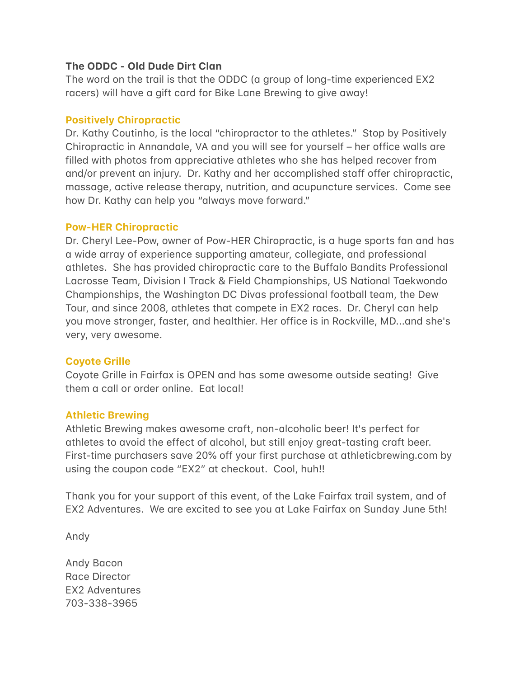# The ODDC - Old Dude Dirt Clan

The word on the trail is that the ODDC (a group of long-time experienced EX2 racers) will have a gift card for Bike Lane Brewing to give away!

#### **Positively Chiropractic**

Dr. Kathy Coutinho, is the local "chiropractor to the athletes." Stop by Positively Chiropractic in Annandale, VA and you will see for yourself - her office walls are filled with photos from appreciative athletes who she has helped recover from and/or prevent an injury. Dr. Kathy and her accomplished staff offer chiropractic, massage, active release therapy, nutrition, and acupuncture services. Come see how Dr. Kathy can help you "always move forward."

#### **Pow-HER Chiropractic**

Dr. Cheryl Lee-Pow, owner of Pow-HER Chiropractic, is a huge sports fan and has a wide array of experience supporting amateur, collegiate, and professional athletes. She has provided chiropractic care to the Buffalo Bandits Professional Lacrosse Team, Division I Track & Field Championships, US National Taekwondo Championships, the Washington DC Divas professional football team, the Dew Tour, and since 2008, athletes that compete in EX2 races. Dr. Cheryl can help you move stronger, faster, and healthier. Her office is in Rockville, MD...and she's very, very awesome.

#### **Coyote Grille**

Coyote Grille in Fairfax is OPEN and has some awesome outside seating! Give them a call or order online. Eat local!

#### **Athletic Brewing**

Athletic Brewing makes awesome craft, non-alcoholic beer! It's perfect for athletes to avoid the effect of alcohol, but still enjoy great-tasting craft beer. First-time purchasers save 20% off your first purchase at athleticbrewing.com by using the coupon code "EX2" at checkout. Cool, huh!!

Thank you for your support of this event, of the Lake Fairfax trail system, and of EX2 Adventures. We are excited to see you at Lake Fairfax on Sunday June 5th!

Andy

Andy Bacon Race Director **EX2 Adventures** 703-338-3965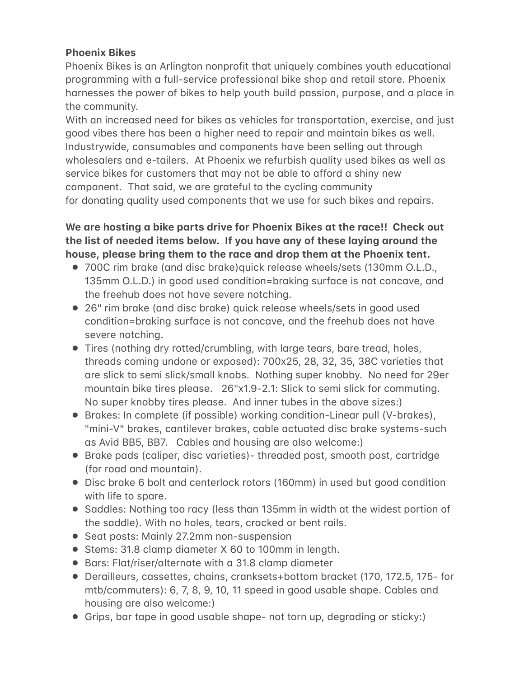# **Phoenix Bikes**

Phoenix Bikes is an Arlington nonprofit that uniquely combines youth educational programming with a full-service professional bike shop and retail store. Phoenix harnesses the power of bikes to help youth build passion, purpose, and a place in the community.

With an increased need for bikes as vehicles for transportation, exercise, and just good vibes there has been a higher need to repair and maintain bikes as well. Industrywide, consumables and components have been selling out through wholesalers and e-tailers. At Phoenix we refurbish quality used bikes as well as service bikes for customers that may not be able to afford a shiny new component. That said, we are grateful to the cycling community for donating quality used components that we use for such bikes and repairs.

# We are hosting a bike parts drive for Phoenix Bikes at the race!! Check out the list of needed items below. If you have any of these laying around the house, please bring them to the race and drop them at the Phoenix tent.

- 700C rim brake (and disc brake)quick release wheels/sets (130mm O.L.D., 135mm O.L.D.) in good used condition=braking surface is not concave, and the freehub does not have severe notching.
- 26" rim brake (and disc brake) quick release wheels/sets in good used condition=braking surface is not concave, and the freehub does not have severe notching.
- Tires (nothing dry rotted/crumbling, with large tears, bare tread, holes, threads coming undone or exposed): 700x25, 28, 32, 35, 38C varieties that are slick to semi slick/small knobs. Nothing super knobby. No need for 29er mountain bike tires please. 26"x1.9-2.1: Slick to semi slick for commuting. No super knobby tires please. And inner tubes in the above sizes:)
- Brakes: In complete (if possible) working condition-Linear pull (V-brakes), "mini-V" brakes, cantilever brakes, cable actuated disc brake systems-such as Avid BB5, BB7. Cables and housing are also welcome:)
- Brake pads (caliper, disc varieties)- threaded post, smooth post, cartridge (for road and mountain).
- Disc brake 6 bolt and centerlock rotors (160mm) in used but good condition with life to spare.
- Saddles: Nothing too racy (less than 135mm in width at the widest portion of the saddle). With no holes, tears, cracked or bent rails.
- Seat posts: Mainly 27.2mm non-suspension
- Stems: 31.8 clamp diameter X 60 to 100mm in length.
- Bars: Flat/riser/alternate with a 31.8 clamp diameter
- Derailleurs, cassettes, chains, cranksets+bottom bracket (170, 172.5, 175- for mtb/commuters): 6, 7, 8, 9, 10, 11 speed in good usable shape. Cables and housing are also welcome:)
- Grips, bar tape in good usable shape- not torn up, degrading or sticky:)